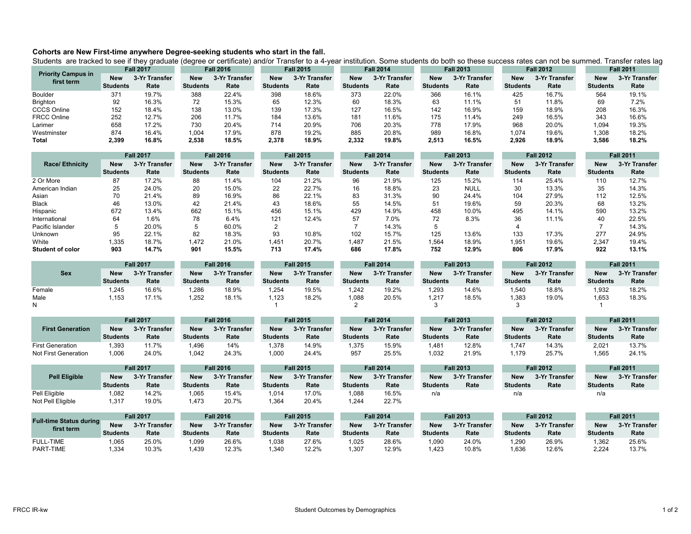## **Cohorts are New First-time anywhere Degree-seeking students who start in the fall.**

Students are tracked to see if they graduate (degree or certificate) and/or Transfer to a 4-year institution. Some students do both so these success rates can not be summed. Transfer rates lag

|                                         | <b>Fall 2017</b> |               | <b>Fall 2016</b> |               | <b>Fall 2015</b> |               | <b>Fall 2014</b> |               | <b>Fall 2013</b> |               | <b>Fall 2012</b> |               | <b>Fall 2011</b> |               |
|-----------------------------------------|------------------|---------------|------------------|---------------|------------------|---------------|------------------|---------------|------------------|---------------|------------------|---------------|------------------|---------------|
| <b>Priority Campus in</b><br>first term | <b>New</b>       | 3-Yr Transfer | <b>New</b>       | 3-Yr Transfer | New              | 3-Yr Transfer | <b>New</b>       | 3-Yr Transfer | <b>New</b>       | 3-Yr Transfer | <b>New</b>       | 3-Yr Transfer | <b>New</b>       | 3-Yr Transfer |
|                                         | <b>Students</b>  | Rate          | <b>Students</b>  | Rate          | <b>Students</b>  | Rate          | <b>Students</b>  | Rate          | <b>Students</b>  | Rate          | <b>Students</b>  | Rate          | <b>Students</b>  | Rate          |
| <b>Boulder</b>                          | 37 <sup>1</sup>  | 19.7%         | 388              | 22.4%         | 398              | 18.6%         | 373              | 22.0%         | 366              | 16.1%         | 425              | 16.7%         | 564              | 19.1%         |
| <b>Brighton</b>                         | 92               | 16.3%         | 72               | 15.3%         | 65               | 12.3%         | 60               | 18.3%         | 63               | 11.1%         | 51               | 11.8%         | 69               | 7.2%          |
| <b>CCCS Online</b>                      | 152              | 18.4%         | 138              | 13.0%         | 139              | 17.3%         | 127              | 16.5%         | 142              | 16.9%         | 159              | 18.9%         | 208              | 16.3%         |
| <b>FRCC Online</b>                      | 252              | 12.7%         | 206              | 11.7%         | 184              | 13.6%         | 181              | 11.6%         | 175              | 11.4%         | 249              | 16.5%         | 343              | 16.6%         |
| Larimer                                 | 658              | 17.2%         | 730              | 20.4%         | 714              | 20.9%         | 706              | 20.3%         | 778              | 17.9%         | 968              | 20.0%         | 094. ا           | 19.3%         |
| Westminster                             | 874              | 16.4%         | 1,004            | 17.9%         | 878              | 19.2%         | 885              | 20.8%         | 989              | 16.8%         | 1,074            | 19.6%         | 1,308            | 18.2%         |
| Total                                   | 2,399            | 16.8%         | 2,538            | 18.5%         | 2,378            | 18.9%         | 2,332            | 19.8%         | 2,513            | 16.5%         | 2,926            | 18.9%         | 3,586            | 18.2%         |

|                         | <b>Fall 2017</b> |               | <b>Fall 2016</b> |               | <b>Fall 2015</b> |               | <b>Fall 2014</b> |               | <b>Fall 2013</b> |               | <b>Fall 2012</b> |               | <b>Fall 2011</b> |               |
|-------------------------|------------------|---------------|------------------|---------------|------------------|---------------|------------------|---------------|------------------|---------------|------------------|---------------|------------------|---------------|
| <b>Race/Ethnicity</b>   | <b>New</b>       | 3-Yr Transfer | <b>New</b>       | 3-Yr Transfer | <b>New</b>       | 3-Yr Transfer | <b>New</b>       | 3-Yr Transfer | <b>New</b>       | 3-Yr Transfer | <b>New</b>       | 3-Yr Transfer | <b>New</b>       | 3-Yr Transfer |
|                         | <b>Students</b>  | Rate          | <b>Students</b>  | Rate          | <b>Students</b>  | Rate          | <b>Students</b>  | Rate          | <b>Students</b>  | Rate          | <b>Students</b>  | Rate          | <b>Students</b>  | Rate          |
| 2 Or More               | 87               | 17.2%         | 88               | 11.4%         | 104              | 21.2%         | 96               | 21.9%         | 125              | 15.2%         | 114              | 25.4%         | 110              | 12.7%         |
| American Indian         | 25               | 24.0%         | 20               | 15.0%         | 22               | 22.7%         | 16               | 18.8%         | 23               | <b>NULL</b>   | 30               | 13.3%         | 35               | 14.3%         |
| Asian                   | 70               | 21.4%         | 89               | 16.9%         | 86               | 22.1%         | 83               | 31.3%         | 90               | 24.4%         | 104              | 27.9%         | 112              | 12.5%         |
| <b>Black</b>            | 46               | 13.0%         | 42               | 21.4%         | 43               | 18.6%         | 55               | 14.5%         | 51               | 19.6%         | 59               | 20.3%         | 68               | 13.2%         |
| Hispanic                | 672              | 13.4%         | 662              | 15.1%         | 456              | 15.1%         | 429              | 14.9%         | 458              | 10.0%         | 495              | 14.1%         | 590              | 13.2%         |
| International           | 64               | 1.6%          | 78               | 6.4%          | 121              | 12.4%         | 57               | 7.0%          | 72.              | 8.3%          | 36               | 11.1%         | 40               | 22.5%         |
| Pacific Islander        |                  | 20.0%         |                  | 60.0%         |                  |               |                  | 14.3%         |                  |               |                  |               |                  | 14.3%         |
| Unknown                 | 95               | 22.1%         | 82               | 18.3%         | 93               | 10.8%         | 102              | 15.7%         | 125              | 13.6%         | 133              | 17.3%         | 277              | 24.9%         |
| White                   | 1,335            | 18.7%         | 1,472            | 21.0%         | 1,451            | 20.7%         | 1,487            | 21.5%         | 1,564            | 18.9%         | 1,951            | 19.6%         | 2,347            | 19.4%         |
| <b>Student of color</b> | 903              | 14.7%         | 901              | 15.5%         | 713              | 17.4%         | 686              | 17.8%         | 752              | 12.9%         | 806              | 17.9%         | 922              | 13.1%         |

|            | <b>Fall 2017</b> |               | <b>Fall 2016</b> |               | <b>Fall 2015</b> |               | <b>Fall 2014</b> |               | <b>Fall 2013</b> |               | <b>Fall 2012</b> |               | <b>Fall 2011</b> |               |
|------------|------------------|---------------|------------------|---------------|------------------|---------------|------------------|---------------|------------------|---------------|------------------|---------------|------------------|---------------|
| <b>Sex</b> | <b>New</b>       | 3-Yr Transfer | <b>New</b>       | 3-Yr Transfer | <b>New</b>       | 3-Yr Transfer | <b>New</b>       | 3-Yr Transfer | <b>New</b>       | 3-Yr Transfer | <b>New</b>       | 3-Yr Transfer | <b>New</b>       | 3-Yr Transfer |
|            | <b>Students</b>  | Rate          | <b>Students</b>  | Rate          | <b>Students</b>  | Rate          | <b>Students</b>  | Rate          | <b>Students</b>  | Rate          | <b>Students</b>  | Rate          | <b>Students</b>  | Rate          |
| Female     | ,245             | 16.6%         | .286             | 18.9%         | .254             | 19.5%         | 1,242            | 19.2%         | 1,293            | 14.6%         | .540             | 18.8%         | 1,932            | 18.2%         |
| Male       | ,153             | 17.1%         | ,252             | 18.1%         | 123              | 18.2%         | 1,088            | 20.5%         | 1,217            | 18.5%         | 1,383            | 19.0%         | ,653             | 18.3%         |
| N          |                  |               |                  |               |                  |               |                  |               |                  |               |                  |               |                  |               |

|                         | <b>Fall 2017</b> |               | <b>Fall 2016</b> |               | <b>Fall 2015</b> |               | <b>Fall 2014</b> |               | <b>Fall 2013</b> |               | <b>Fall 2012</b> |               | <b>Fall 2011</b> |               |
|-------------------------|------------------|---------------|------------------|---------------|------------------|---------------|------------------|---------------|------------------|---------------|------------------|---------------|------------------|---------------|
| <b>First Generation</b> | <b>New</b>       | 3-Yr Transfer | <b>New</b>       | 3-Yr Transfer | <b>New</b>       | 3-Yr Transfer | <b>New</b>       | 3-Yr Transfer | <b>New</b>       | 3-Yr Transfer | <b>New</b>       | 3-Yr Transfer | <b>New</b>       | 3-Yr Transfer |
|                         | <b>Students</b>  | Rate          | <b>Students</b>  | Rate          | <b>Students</b>  | Rate          | <b>Students</b>  | Rate          | <b>Students</b>  | Rate          | <b>Students</b>  | Rate          | <b>Students</b>  | Rate          |
| <b>First Generation</b> | ,393             | 11.7%         | .496             | 14%           | .378             | 14.9%         | 375, ا           | 15.9%         | .481             | 12.8%         | 747.             | 14.3%         | 2,021            | 13.7%         |
| Not First Generation    | ,006             | 24.0%         | ,042             | 24.3%         | ,000             | 24.4%         | 957              | 25.5%         | ,032             | 21.9%         | ,179             | 25.7%         | 1,565            | 24.1%         |

|                                | <b>Fall 2017</b>                   |               | <b>Fall 2016</b> |               | <b>Fall 2015</b> |                                | <b>Fall 2014</b> |                                | <b>Fall 2013</b> |               | <b>Fall 2012</b> |                                | <b>Fall 2011</b>                   |                  |
|--------------------------------|------------------------------------|---------------|------------------|---------------|------------------|--------------------------------|------------------|--------------------------------|------------------|---------------|------------------|--------------------------------|------------------------------------|------------------|
| <b>Pell Eligible</b>           | 3-Yr Transfer<br><b>New</b>        |               | <b>New</b>       | 3-Yr Transfer | <b>New</b>       | 3-Yr Transfer                  | <b>New</b>       | 3-Yr Transfer                  | <b>New</b>       | 3-Yr Transfer | <b>New</b>       | 3-Yr Transfer                  | <b>New</b>                         | 3-Yr Transfer    |
|                                | <b>Students</b>                    | Rate          | Students         | Rate          | <b>Students</b>  | Rate                           | <b>Students</b>  | Rate                           | <b>Students</b>  | Rate          | <b>Students</b>  | Rate                           | <b>Students</b>                    | Rate             |
| Pell Eligible                  | 1,082                              | 14.2%         | 1,065            | 15.4%         | ,014             | 17.0%                          | 1,088            | 16.5%                          | n/a              |               | n/a              |                                | n/a                                |                  |
| Not Pell Eligible              | 1,317                              | 19.0%         | ,473             | 20.7%         | ,364             | 20.4%                          | 1,244            | 22.7%                          |                  |               |                  |                                |                                    |                  |
|                                |                                    |               |                  |               |                  |                                |                  |                                |                  |               |                  |                                |                                    |                  |
| <b>Full-time Status during</b> | <b>Fall 2017</b>                   |               | <b>Fall 2016</b> |               | <b>Fall 2015</b> |                                | <b>Fall 2014</b> |                                | <b>Fall 2013</b> |               | <b>Fall 2012</b> |                                |                                    | <b>Fall 2011</b> |
| first term                     | <b>New</b><br>$\sim$ $\sim$ $\sim$ | 3-Yr Transfer | <b>New</b><br>.  | 3-Yr Transfer | <b>New</b><br>.  | 3-Yr Transfer<br>$\sim$ $\sim$ | <b>New</b>       | 3-Yr Transfer<br>$\sim$ $\sim$ | <b>New</b>       | 3-Yr Transfer | <b>New</b>       | 3-Yr Transfer<br>$\sim$ $\sim$ | <b>New</b><br>$\sim$ $\sim$ $\sim$ | 3-Yr Transfer    |

| <b>Full-time Status during</b><br>first term | <b>New</b><br><b>Students</b> | 3-Yr Transfer<br>Rate | <b>New</b><br><b>Students</b> | 3-Yr Transfer<br><b>Rate</b> | <b>New</b><br><b>Students</b> | 3-Yr Transfer<br>Rate | <b>New</b><br><b>Students</b> | 3-Yr Transfer<br>Rate | <b>New</b><br><b>Students</b> | 3-Yr Transfer<br>Rate | <b>New</b><br><b>Students</b> | 3-Yr Transfer<br>Rate | <b>New</b><br><b>Students</b> | 3-Yr Transt<br>Rate |
|----------------------------------------------|-------------------------------|-----------------------|-------------------------------|------------------------------|-------------------------------|-----------------------|-------------------------------|-----------------------|-------------------------------|-----------------------|-------------------------------|-----------------------|-------------------------------|---------------------|
| <b>FULL-TIME</b>                             | ,065                          | 25.0%                 | 990, ا                        | 26.6%                        | ,038                          | 27.6%                 | 1,025                         | 28.6%                 | ,090                          | 24.0%                 | ,290                          | 26.9%                 | ,362                          | 25.6%               |
| PART-TIME                                    | 1,334                         | 10.3%                 | ,439                          | 12.3%                        | .340                          | 12.2%                 | .307                          | 12.9%                 | ,423                          | 10.8%                 | ,636                          | 12.6%                 | 2,224                         | 13.7%               |